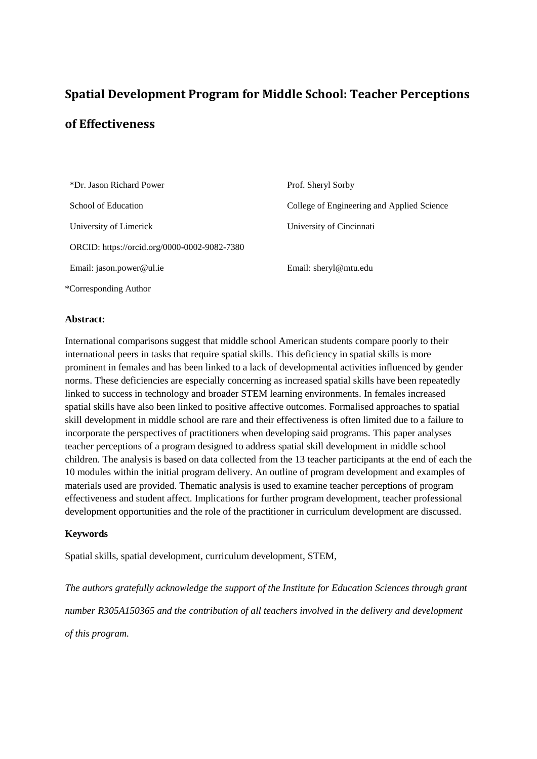# **Spatial Development Program for Middle School: Teacher Perceptions of Effectiveness**

| *Dr. Jason Richard Power                     | Prof. Sheryl Sorby                         |
|----------------------------------------------|--------------------------------------------|
| School of Education                          | College of Engineering and Applied Science |
| University of Limerick                       | University of Cincinnati                   |
| ORCID: https://orcid.org/0000-0002-9082-7380 |                                            |
| Email: jason.power@ul.ie                     | Email: sheryl@mtu.edu                      |
| *Corresponding Author                        |                                            |

## **Abstract:**

International comparisons suggest that middle school American students compare poorly to their international peers in tasks that require spatial skills. This deficiency in spatial skills is more prominent in females and has been linked to a lack of developmental activities influenced by gender norms. These deficiencies are especially concerning as increased spatial skills have been repeatedly linked to success in technology and broader STEM learning environments. In females increased spatial skills have also been linked to positive affective outcomes. Formalised approaches to spatial skill development in middle school are rare and their effectiveness is often limited due to a failure to incorporate the perspectives of practitioners when developing said programs. This paper analyses teacher perceptions of a program designed to address spatial skill development in middle school children. The analysis is based on data collected from the 13 teacher participants at the end of each the 10 modules within the initial program delivery. An outline of program development and examples of materials used are provided. Thematic analysis is used to examine teacher perceptions of program effectiveness and student affect. Implications for further program development, teacher professional development opportunities and the role of the practitioner in curriculum development are discussed.

## **Keywords**

Spatial skills, spatial development, curriculum development, STEM,

*The authors gratefully acknowledge the support of the Institute for Education Sciences through grant number R305A150365 and the contribution of all teachers involved in the delivery and development of this program.*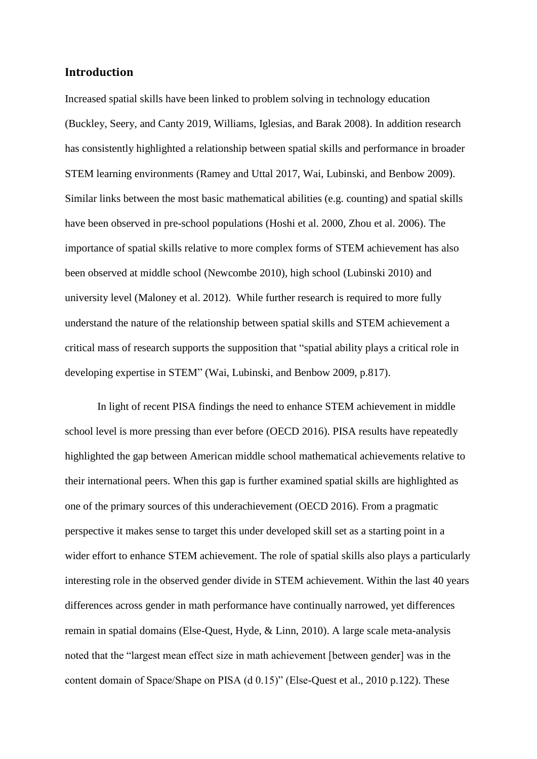# **Introduction**

Increased spatial skills have been linked to problem solving in technology education (Buckley, Seery, and Canty 2019, Williams, Iglesias, and Barak 2008). In addition research has consistently highlighted a relationship between spatial skills and performance in broader STEM learning environments (Ramey and Uttal 2017, Wai, Lubinski, and Benbow 2009). Similar links between the most basic mathematical abilities (e.g. counting) and spatial skills have been observed in pre-school populations (Hoshi et al. 2000, Zhou et al. 2006). The importance of spatial skills relative to more complex forms of STEM achievement has also been observed at middle school (Newcombe 2010), high school (Lubinski 2010) and university level (Maloney et al. 2012). While further research is required to more fully understand the nature of the relationship between spatial skills and STEM achievement a critical mass of research supports the supposition that "spatial ability plays a critical role in developing expertise in STEM" (Wai, Lubinski, and Benbow 2009, p.817).

In light of recent PISA findings the need to enhance STEM achievement in middle school level is more pressing than ever before (OECD 2016). PISA results have repeatedly highlighted the gap between American middle school mathematical achievements relative to their international peers. When this gap is further examined spatial skills are highlighted as one of the primary sources of this underachievement (OECD 2016). From a pragmatic perspective it makes sense to target this under developed skill set as a starting point in a wider effort to enhance STEM achievement. The role of spatial skills also plays a particularly interesting role in the observed gender divide in STEM achievement. Within the last 40 years differences across gender in math performance have continually narrowed, yet differences remain in spatial domains (Else-Quest, Hyde, & Linn, 2010). A large scale meta-analysis noted that the "largest mean effect size in math achievement [between gender] was in the content domain of Space/Shape on PISA (d 0.15)" (Else-Quest et al., 2010 p.122). These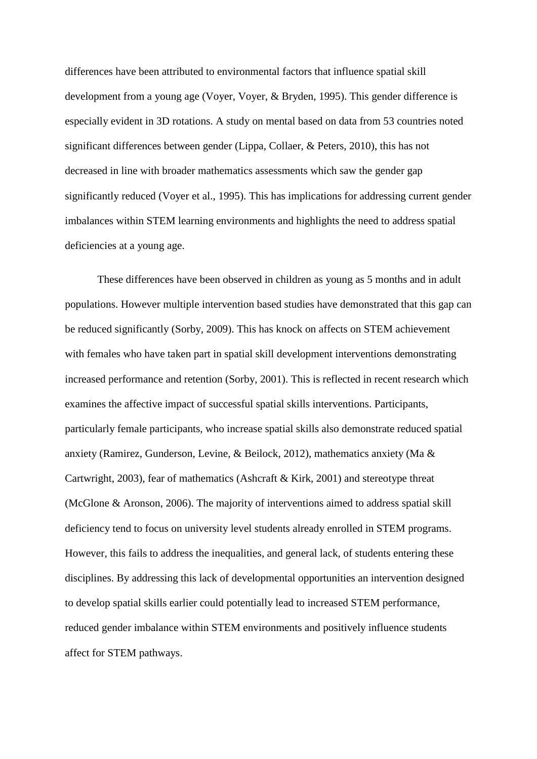differences have been attributed to environmental factors that influence spatial skill development from a young age (Voyer, Voyer, & Bryden, 1995). This gender difference is especially evident in 3D rotations. A study on mental based on data from 53 countries noted significant differences between gender (Lippa, Collaer, & Peters, 2010), this has not decreased in line with broader mathematics assessments which saw the gender gap significantly reduced (Voyer et al., 1995). This has implications for addressing current gender imbalances within STEM learning environments and highlights the need to address spatial deficiencies at a young age.

These differences have been observed in children as young as 5 months and in adult populations. However multiple intervention based studies have demonstrated that this gap can be reduced significantly (Sorby, 2009). This has knock on affects on STEM achievement with females who have taken part in spatial skill development interventions demonstrating increased performance and retention (Sorby, 2001). This is reflected in recent research which examines the affective impact of successful spatial skills interventions. Participants, particularly female participants, who increase spatial skills also demonstrate reduced spatial anxiety (Ramirez, Gunderson, Levine, & Beilock, 2012), mathematics anxiety (Ma & Cartwright, 2003), fear of mathematics (Ashcraft & Kirk, 2001) and stereotype threat (McGlone & Aronson, 2006). The majority of interventions aimed to address spatial skill deficiency tend to focus on university level students already enrolled in STEM programs. However, this fails to address the inequalities, and general lack, of students entering these disciplines. By addressing this lack of developmental opportunities an intervention designed to develop spatial skills earlier could potentially lead to increased STEM performance, reduced gender imbalance within STEM environments and positively influence students affect for STEM pathways.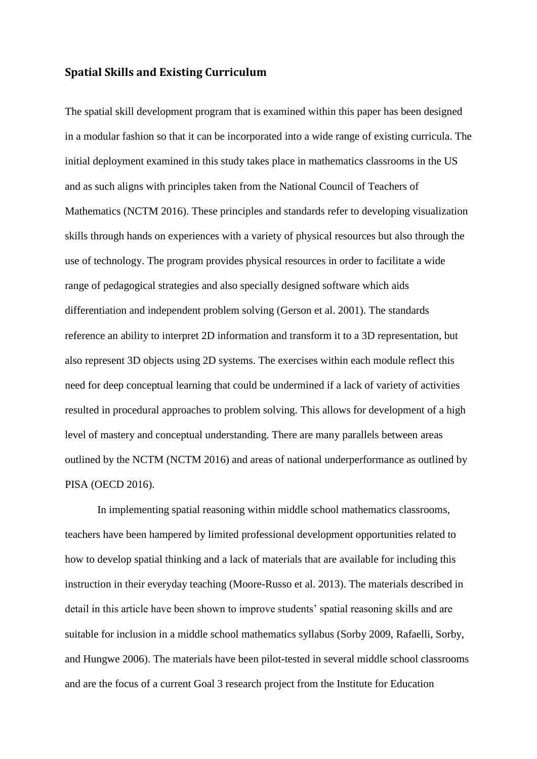# **Spatial Skills and Existing Curriculum**

The spatial skill development program that is examined within this paper has been designed in a modular fashion so that it can be incorporated into a wide range of existing curricula. The initial deployment examined in this study takes place in mathematics classrooms in the US and as such aligns with principles taken from the National Council of Teachers of Mathematics (NCTM 2016). These principles and standards refer to developing visualization skills through hands on experiences with a variety of physical resources but also through the use of technology. The program provides physical resources in order to facilitate a wide range of pedagogical strategies and also specially designed software which aids differentiation and independent problem solving (Gerson et al. 2001). The standards reference an ability to interpret 2D information and transform it to a 3D representation, but also represent 3D objects using 2D systems. The exercises within each module reflect this need for deep conceptual learning that could be undermined if a lack of variety of activities resulted in procedural approaches to problem solving. This allows for development of a high level of mastery and conceptual understanding. There are many parallels between areas outlined by the NCTM (NCTM 2016) and areas of national underperformance as outlined by PISA (OECD 2016).

In implementing spatial reasoning within middle school mathematics classrooms, teachers have been hampered by limited professional development opportunities related to how to develop spatial thinking and a lack of materials that are available for including this instruction in their everyday teaching (Moore-Russo et al. 2013). The materials described in detail in this article have been shown to improve students' spatial reasoning skills and are suitable for inclusion in a middle school mathematics syllabus (Sorby 2009, Rafaelli, Sorby, and Hungwe 2006). The materials have been pilot-tested in several middle school classrooms and are the focus of a current Goal 3 research project from the Institute for Education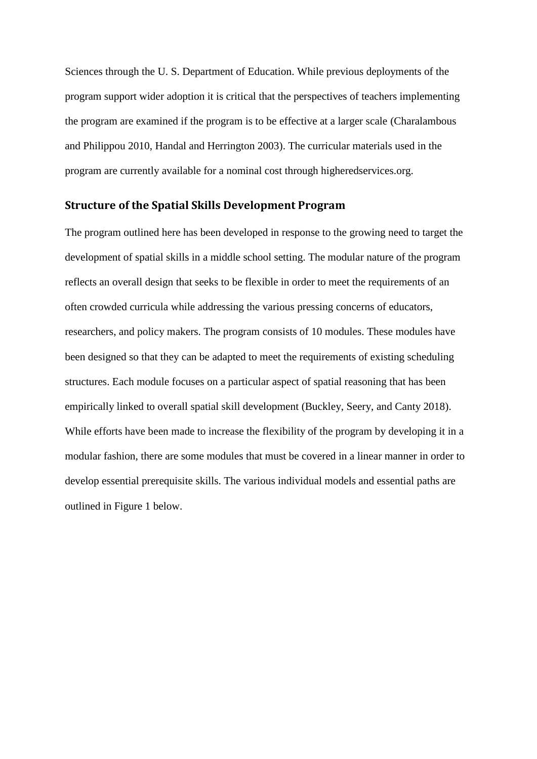Sciences through the U. S. Department of Education. While previous deployments of the program support wider adoption it is critical that the perspectives of teachers implementing the program are examined if the program is to be effective at a larger scale (Charalambous and Philippou 2010, Handal and Herrington 2003). The curricular materials used in the program are currently available for a nominal cost through higheredservices.org.

# **Structure of the Spatial Skills Development Program**

The program outlined here has been developed in response to the growing need to target the development of spatial skills in a middle school setting. The modular nature of the program reflects an overall design that seeks to be flexible in order to meet the requirements of an often crowded curricula while addressing the various pressing concerns of educators, researchers, and policy makers. The program consists of 10 modules. These modules have been designed so that they can be adapted to meet the requirements of existing scheduling structures. Each module focuses on a particular aspect of spatial reasoning that has been empirically linked to overall spatial skill development (Buckley, Seery, and Canty 2018). While efforts have been made to increase the flexibility of the program by developing it in a modular fashion, there are some modules that must be covered in a linear manner in order to develop essential prerequisite skills. The various individual models and essential paths are outlined in [Figure 1](#page-5-0) below.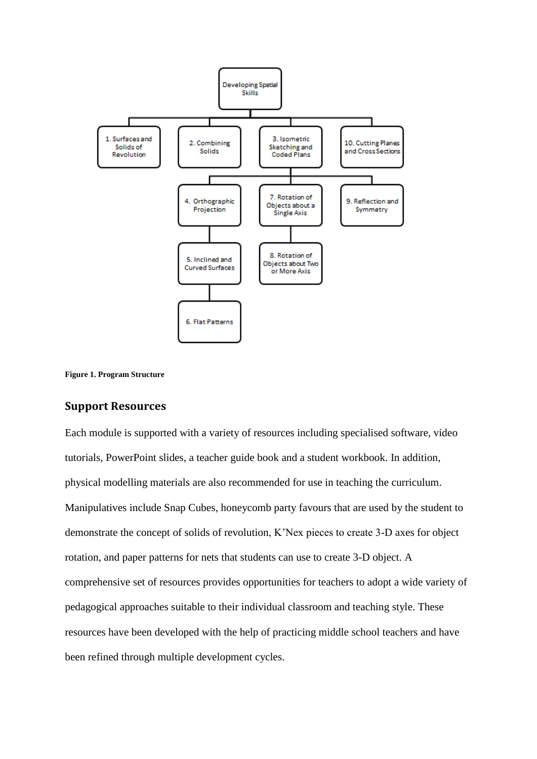

<span id="page-5-0"></span>

## **Support Resources**

Each module is supported with a variety of resources including specialised software, video tutorials, PowerPoint slides, a teacher guide book and a student workbook. In addition, physical modelling materials are also recommended for use in teaching the curriculum. Manipulatives include Snap Cubes, honeycomb party favours that are used by the student to demonstrate the concept of solids of revolution, K'Nex pieces to create 3-D axes for object rotation, and paper patterns for nets that students can use to create 3-D object. A comprehensive set of resources provides opportunities for teachers to adopt a wide variety of pedagogical approaches suitable to their individual classroom and teaching style. These resources have been developed with the help of practicing middle school teachers and have been refined through multiple development cycles.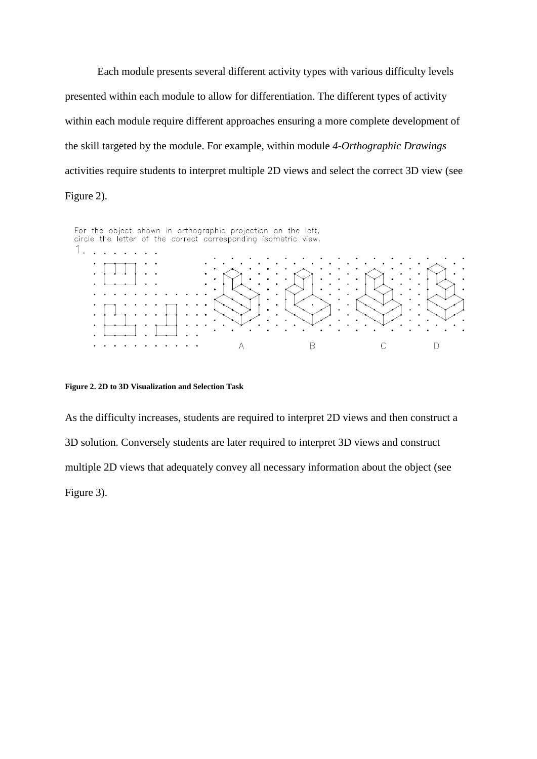<span id="page-6-1"></span>Each module presents several different activity types with various difficulty levels presented within each module to allow for differentiation. The different types of activity within each module require different approaches ensuring a more complete development of the skill targeted by the module. For example, within module *4-Orthographic Drawings* activities require students to interpret multiple 2D views and select the correct 3D view (see [Figure 2\)](#page-6-0).



#### <span id="page-6-0"></span>**Figure 2. 2D to 3D Visualization and Selection Task**

As the difficulty increases, students are required to interpret 2D views and then construct a 3D solution. Conversely students are later required to interpret 3D views and construct multiple 2D views that adequately convey all necessary information about the object (see [Figure 3\)](#page-6-1).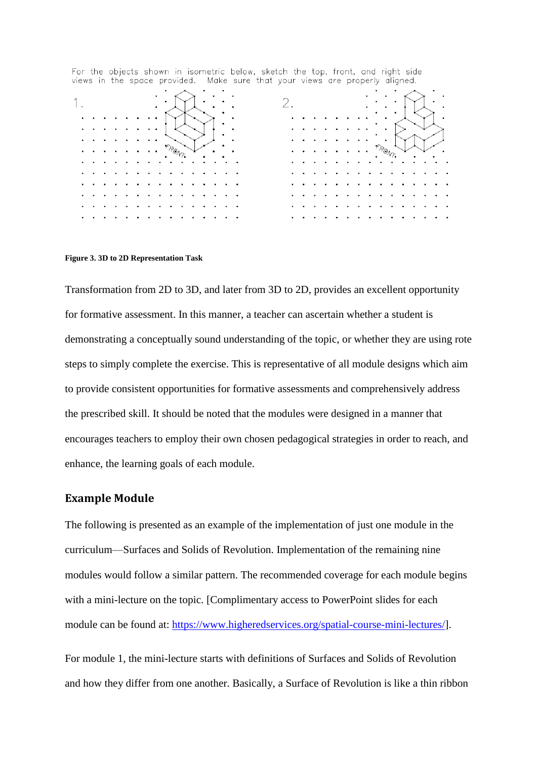| views in the space provided. Make sure that your views are properly diighed. |  |  |     |  |  |  |  |  |  |  |  |  |  |  |  |
|------------------------------------------------------------------------------|--|--|-----|--|--|--|--|--|--|--|--|--|--|--|--|
|                                                                              |  |  |     |  |  |  |  |  |  |  |  |  |  |  |  |
|                                                                              |  |  |     |  |  |  |  |  |  |  |  |  |  |  |  |
| ٠                                                                            |  |  |     |  |  |  |  |  |  |  |  |  |  |  |  |
| $\bullet$                                                                    |  |  | ٢Ол |  |  |  |  |  |  |  |  |  |  |  |  |
|                                                                              |  |  |     |  |  |  |  |  |  |  |  |  |  |  |  |
|                                                                              |  |  |     |  |  |  |  |  |  |  |  |  |  |  |  |
|                                                                              |  |  |     |  |  |  |  |  |  |  |  |  |  |  |  |
|                                                                              |  |  |     |  |  |  |  |  |  |  |  |  |  |  |  |
|                                                                              |  |  |     |  |  |  |  |  |  |  |  |  |  |  |  |

For the objects shown in isometric below, sketch the top, front, and right side<br>views in the space provided. Make sure that your views are properly digned

#### **Figure 3. 3D to 2D Representation Task**

Transformation from 2D to 3D, and later from 3D to 2D, provides an excellent opportunity for formative assessment. In this manner, a teacher can ascertain whether a student is demonstrating a conceptually sound understanding of the topic, or whether they are using rote steps to simply complete the exercise. This is representative of all module designs which aim to provide consistent opportunities for formative assessments and comprehensively address the prescribed skill. It should be noted that the modules were designed in a manner that encourages teachers to employ their own chosen pedagogical strategies in order to reach, and enhance, the learning goals of each module.

## **Example Module**

The following is presented as an example of the implementation of just one module in the curriculum—Surfaces and Solids of Revolution. Implementation of the remaining nine modules would follow a similar pattern. The recommended coverage for each module begins with a mini-lecture on the topic. [Complimentary access to PowerPoint slides for each module can be found at: [https://www.higheredservices.org/spatial-course-mini-lectures/\]](https://www.higheredservices.org/spatial-course-mini-lectures/).

For module 1, the mini-lecture starts with definitions of Surfaces and Solids of Revolution and how they differ from one another. Basically, a Surface of Revolution is like a thin ribbon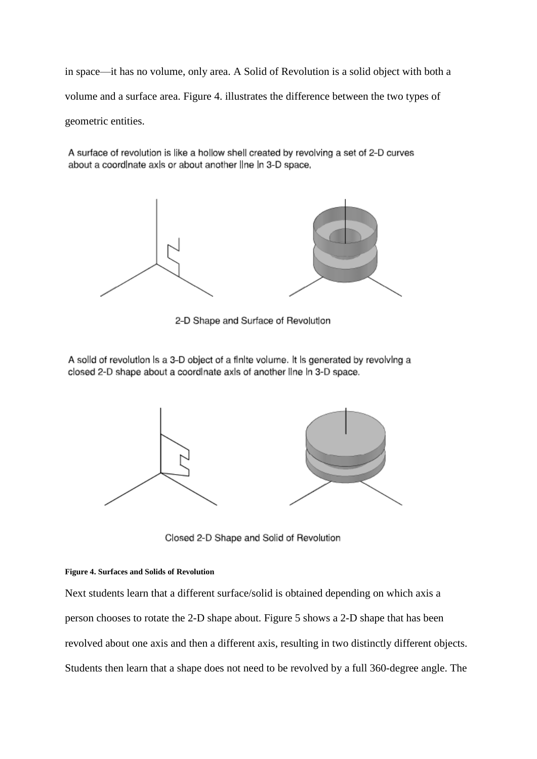in space—it has no volume, only area. A Solid of Revolution is a solid object with both a volume and a surface area. [Figure 4.](#page-8-0) illustrates the difference between the two types of geometric entities.

A surface of revolution is like a hollow shell created by revolving a set of 2-D curves about a coordinate axis or about another line in 3-D space.



2-D Shape and Surface of Revolution

A solld of revolution is a 3-D object of a finite volume. It is generated by revolving a closed 2-D shape about a coordinate axis of another line in 3-D space.



Closed 2-D Shape and Solid of Revolution

### <span id="page-8-0"></span>**Figure 4. Surfaces and Solids of Revolution**

Next students learn that a different surface/solid is obtained depending on which axis a person chooses to rotate the 2-D shape about. [Figure 5](#page-9-0) shows a 2-D shape that has been revolved about one axis and then a different axis, resulting in two distinctly different objects. Students then learn that a shape does not need to be revolved by a full 360-degree angle. The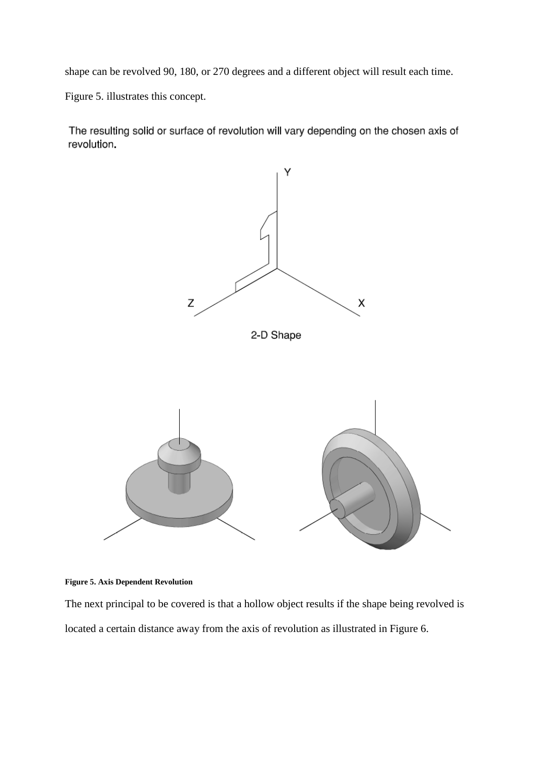shape can be revolved 90, 180, or 270 degrees and a different object will result each time.

[Figure 5.](#page-9-0) illustrates this concept.

The resulting solid or surface of revolution will vary depending on the chosen axis of revolution.



<span id="page-9-0"></span>**Figure 5. Axis Dependent Revolution**

The next principal to be covered is that a hollow object results if the shape being revolved is located a certain distance away from the axis of revolution as illustrated in [Figure 6.](#page-10-0)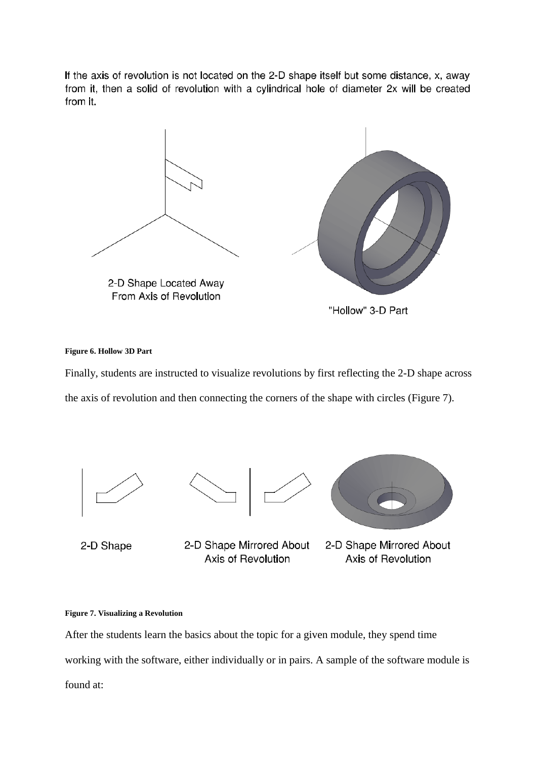If the axis of revolution is not located on the 2-D shape itself but some distance, x, away from it, then a solid of revolution with a cylindrical hole of diameter 2x will be created from it.



### <span id="page-10-0"></span>**Figure 6. Hollow 3D Part**

Finally, students are instructed to visualize revolutions by first reflecting the 2-D shape across the axis of revolution and then connecting the corners of the shape with circles [\(Figure 7\)](#page-10-1).





2-D Shape Mirrored About Axis of Revolution



2-D Shape Mirrored About Axis of Revolution

## <span id="page-10-1"></span>**Figure 7. Visualizing a Revolution**

After the students learn the basics about the topic for a given module, they spend time working with the software, either individually or in pairs. A sample of the software module is found at: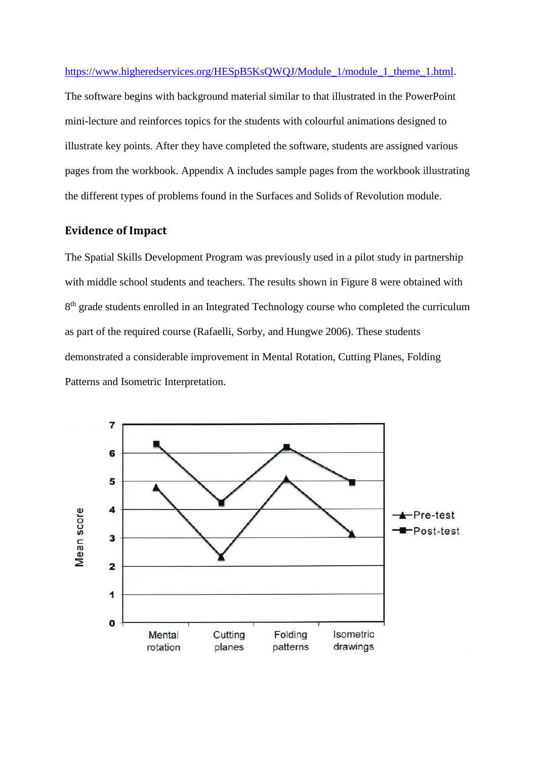<span id="page-11-0"></span>[https://www.higheredservices.org/HESpB5KsQWQJ/Module\\_1/module\\_1\\_theme\\_1.html.](https://www.higheredservices.org/HESpB5KsQWQJ/Module_1/module_1_theme_1.html) The software begins with background material similar to that illustrated in the PowerPoint mini-lecture and reinforces topics for the students with colourful animations designed to illustrate key points. After they have completed the software, students are assigned various pages from the workbook. Appendix A includes sample pages from the workbook illustrating the different types of problems found in the Surfaces and Solids of Revolution module.

# **Evidence of Impact**

The Spatial Skills Development Program was previously used in a pilot study in partnership with middle school students and teachers. The results shown in [Figure 8](#page-11-0) were obtained with 8<sup>th</sup> grade students enrolled in an Integrated Technology course who completed the curriculum as part of the required course (Rafaelli, Sorby, and Hungwe 2006). These students demonstrated a considerable improvement in Mental Rotation, Cutting Planes, Folding Patterns and Isometric Interpretation.

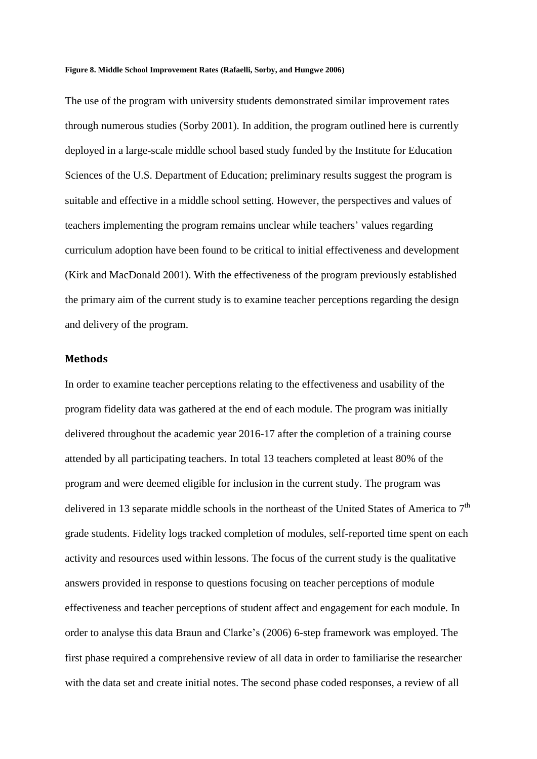#### **Figure 8. Middle School Improvement Rates (Rafaelli, Sorby, and Hungwe 2006)**

The use of the program with university students demonstrated similar improvement rates through numerous studies (Sorby 2001). In addition, the program outlined here is currently deployed in a large-scale middle school based study funded by the Institute for Education Sciences of the U.S. Department of Education; preliminary results suggest the program is suitable and effective in a middle school setting. However, the perspectives and values of teachers implementing the program remains unclear while teachers' values regarding curriculum adoption have been found to be critical to initial effectiveness and development (Kirk and MacDonald 2001). With the effectiveness of the program previously established the primary aim of the current study is to examine teacher perceptions regarding the design and delivery of the program.

## **Methods**

In order to examine teacher perceptions relating to the effectiveness and usability of the program fidelity data was gathered at the end of each module. The program was initially delivered throughout the academic year 2016-17 after the completion of a training course attended by all participating teachers. In total 13 teachers completed at least 80% of the program and were deemed eligible for inclusion in the current study. The program was delivered in 13 separate middle schools in the northeast of the United States of America to 7<sup>th</sup> grade students. Fidelity logs tracked completion of modules, self-reported time spent on each activity and resources used within lessons. The focus of the current study is the qualitative answers provided in response to questions focusing on teacher perceptions of module effectiveness and teacher perceptions of student affect and engagement for each module. In order to analyse this data Braun and Clarke's (2006) 6-step framework was employed. The first phase required a comprehensive review of all data in order to familiarise the researcher with the data set and create initial notes. The second phase coded responses, a review of all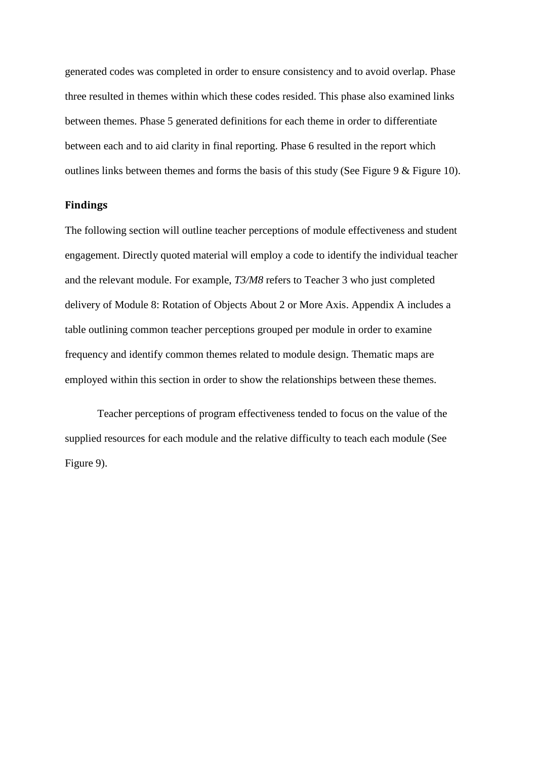generated codes was completed in order to ensure consistency and to avoid overlap. Phase three resulted in themes within which these codes resided. This phase also examined links between themes. Phase 5 generated definitions for each theme in order to differentiate between each and to aid clarity in final reporting. Phase 6 resulted in the report which outlines links between themes and forms the basis of this study (See [Figure 9](#page-14-0) & [Figure 10\)](#page-16-0).

## **Findings**

The following section will outline teacher perceptions of module effectiveness and student engagement. Directly quoted material will employ a code to identify the individual teacher and the relevant module. For example, *T3/M8* refers to Teacher 3 who just completed delivery of Module 8: Rotation of Objects About 2 or More Axis. Appendix A includes a table outlining common teacher perceptions grouped per module in order to examine frequency and identify common themes related to module design. Thematic maps are employed within this section in order to show the relationships between these themes.

Teacher perceptions of program effectiveness tended to focus on the value of the supplied resources for each module and the relative difficulty to teach each module (See [Figure 9\)](#page-14-0).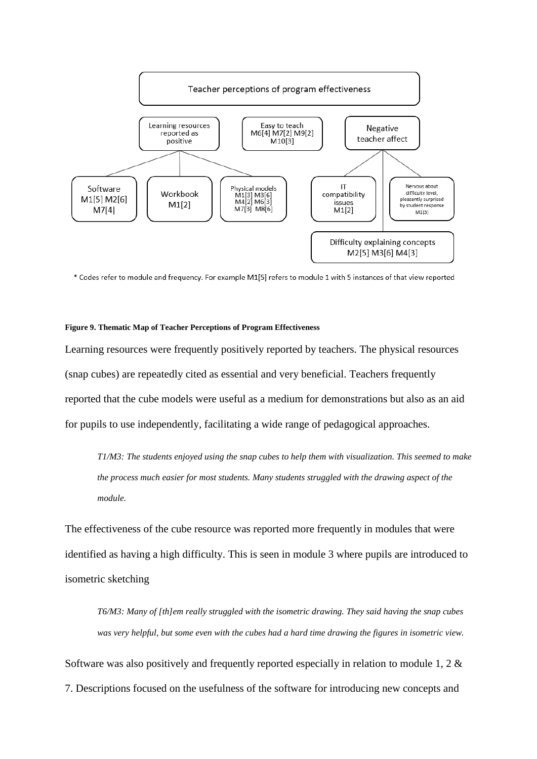

\* Codes refer to module and frequency. For example M1[5] refers to module 1 with 5 instances of that view reported

#### <span id="page-14-0"></span>**Figure 9. Thematic Map of Teacher Perceptions of Program Effectiveness**

Learning resources were frequently positively reported by teachers. The physical resources (snap cubes) are repeatedly cited as essential and very beneficial. Teachers frequently reported that the cube models were useful as a medium for demonstrations but also as an aid for pupils to use independently, facilitating a wide range of pedagogical approaches.

*T1/M3: The students enjoyed using the snap cubes to help them with visualization. This seemed to make the process much easier for most students. Many students struggled with the drawing aspect of the module.*

The effectiveness of the cube resource was reported more frequently in modules that were identified as having a high difficulty. This is seen in module 3 where pupils are introduced to isometric sketching

*T6/M3: Many of [th]em really struggled with the isometric drawing. They said having the snap cubes was very helpful, but some even with the cubes had a hard time drawing the figures in isometric view.*

Software was also positively and frequently reported especially in relation to module 1, 2  $\&$ 7. Descriptions focused on the usefulness of the software for introducing new concepts and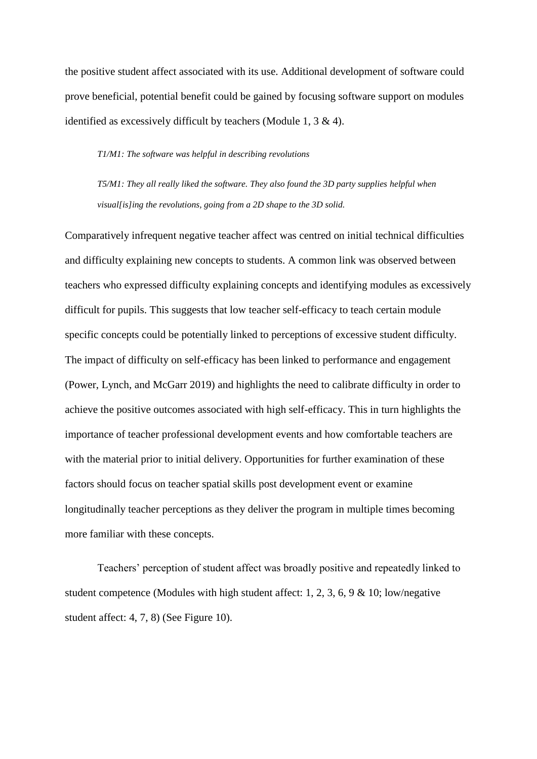the positive student affect associated with its use. Additional development of software could prove beneficial, potential benefit could be gained by focusing software support on modules identified as excessively difficult by teachers (Module 1, 3 & 4).

## *T1/M1: The software was helpful in describing revolutions*

*T5/M1: They all really liked the software. They also found the 3D party supplies helpful when visual[is]ing the revolutions, going from a 2D shape to the 3D solid.*

Comparatively infrequent negative teacher affect was centred on initial technical difficulties and difficulty explaining new concepts to students. A common link was observed between teachers who expressed difficulty explaining concepts and identifying modules as excessively difficult for pupils. This suggests that low teacher self-efficacy to teach certain module specific concepts could be potentially linked to perceptions of excessive student difficulty. The impact of difficulty on self-efficacy has been linked to performance and engagement (Power, Lynch, and McGarr 2019) and highlights the need to calibrate difficulty in order to achieve the positive outcomes associated with high self-efficacy. This in turn highlights the importance of teacher professional development events and how comfortable teachers are with the material prior to initial delivery. Opportunities for further examination of these factors should focus on teacher spatial skills post development event or examine longitudinally teacher perceptions as they deliver the program in multiple times becoming more familiar with these concepts.

Teachers' perception of student affect was broadly positive and repeatedly linked to student competence (Modules with high student affect: 1, 2, 3, 6, 9 & 10; low/negative student affect: 4, 7, 8) (See [Figure 10\)](#page-16-0).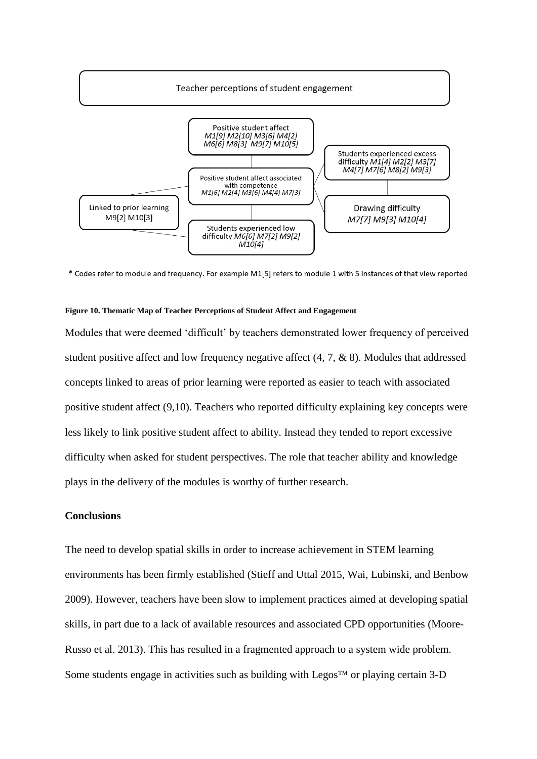

\* Codes refer to module and frequency. For example M1[5] refers to module 1 with 5 instances of that view reported

## <span id="page-16-0"></span>**Figure 10. Thematic Map of Teacher Perceptions of Student Affect and Engagement**

Modules that were deemed 'difficult' by teachers demonstrated lower frequency of perceived student positive affect and low frequency negative affect (4, 7, & 8). Modules that addressed concepts linked to areas of prior learning were reported as easier to teach with associated positive student affect (9,10). Teachers who reported difficulty explaining key concepts were less likely to link positive student affect to ability. Instead they tended to report excessive difficulty when asked for student perspectives. The role that teacher ability and knowledge plays in the delivery of the modules is worthy of further research.

# **Conclusions**

The need to develop spatial skills in order to increase achievement in STEM learning environments has been firmly established (Stieff and Uttal 2015, Wai, Lubinski, and Benbow 2009). However, teachers have been slow to implement practices aimed at developing spatial skills, in part due to a lack of available resources and associated CPD opportunities (Moore-Russo et al. 2013). This has resulted in a fragmented approach to a system wide problem. Some students engage in activities such as building with Legos<sup> $TM$ </sup> or playing certain 3-D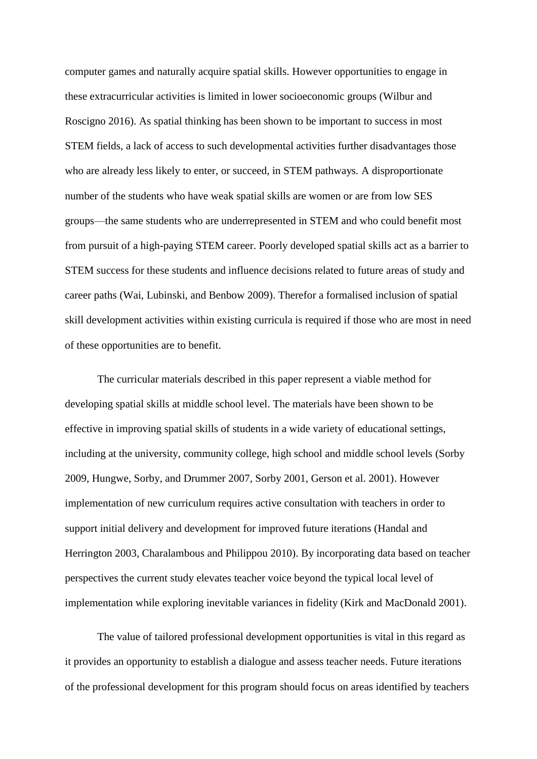computer games and naturally acquire spatial skills. However opportunities to engage in these extracurricular activities is limited in lower socioeconomic groups (Wilbur and Roscigno 2016). As spatial thinking has been shown to be important to success in most STEM fields, a lack of access to such developmental activities further disadvantages those who are already less likely to enter, or succeed, in STEM pathways. A disproportionate number of the students who have weak spatial skills are women or are from low SES groups—the same students who are underrepresented in STEM and who could benefit most from pursuit of a high-paying STEM career. Poorly developed spatial skills act as a barrier to STEM success for these students and influence decisions related to future areas of study and career paths (Wai, Lubinski, and Benbow 2009). Therefor a formalised inclusion of spatial skill development activities within existing curricula is required if those who are most in need of these opportunities are to benefit.

The curricular materials described in this paper represent a viable method for developing spatial skills at middle school level. The materials have been shown to be effective in improving spatial skills of students in a wide variety of educational settings, including at the university, community college, high school and middle school levels (Sorby 2009, Hungwe, Sorby, and Drummer 2007, Sorby 2001, Gerson et al. 2001). However implementation of new curriculum requires active consultation with teachers in order to support initial delivery and development for improved future iterations (Handal and Herrington 2003, Charalambous and Philippou 2010). By incorporating data based on teacher perspectives the current study elevates teacher voice beyond the typical local level of implementation while exploring inevitable variances in fidelity (Kirk and MacDonald 2001).

The value of tailored professional development opportunities is vital in this regard as it provides an opportunity to establish a dialogue and assess teacher needs. Future iterations of the professional development for this program should focus on areas identified by teachers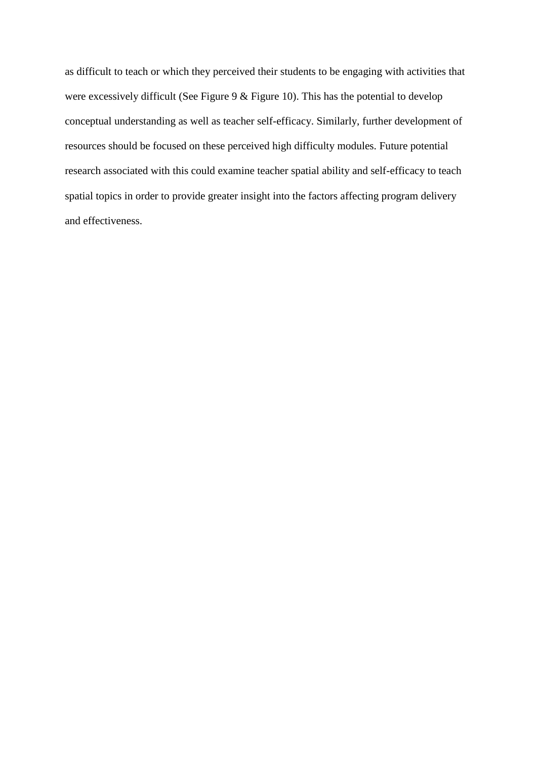as difficult to teach or which they perceived their students to be engaging with activities that were excessively difficult (See [Figure 9](#page-14-0)  $\&$  [Figure 10\)](#page-16-0). This has the potential to develop conceptual understanding as well as teacher self-efficacy. Similarly, further development of resources should be focused on these perceived high difficulty modules. Future potential research associated with this could examine teacher spatial ability and self-efficacy to teach spatial topics in order to provide greater insight into the factors affecting program delivery and effectiveness.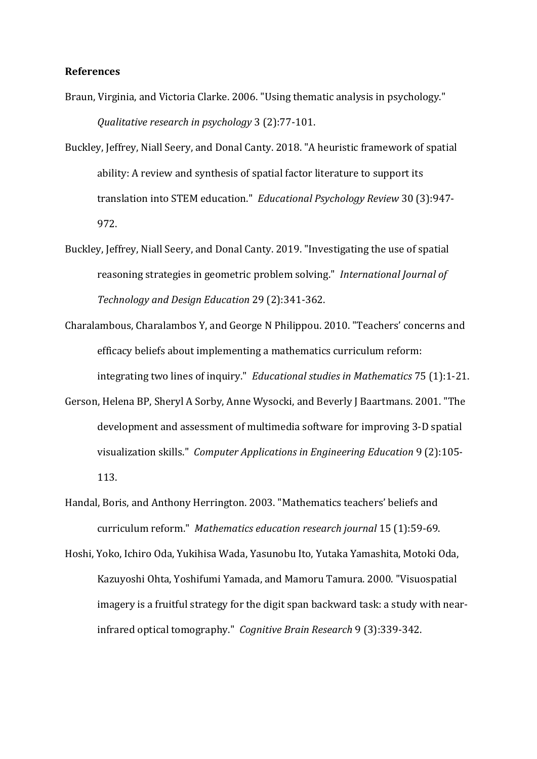## **References**

- Braun, Virginia, and Victoria Clarke. 2006. "Using thematic analysis in psychology." *Qualitative research in psychology* 3 (2):77-101.
- Buckley, Jeffrey, Niall Seery, and Donal Canty. 2018. "A heuristic framework of spatial ability: A review and synthesis of spatial factor literature to support its translation into STEM education." *Educational Psychology Review* 30 (3):947- 972.
- Buckley, Jeffrey, Niall Seery, and Donal Canty. 2019. "Investigating the use of spatial reasoning strategies in geometric problem solving." *International Journal of Technology and Design Education* 29 (2):341-362.
- Charalambous, Charalambos Y, and George N Philippou. 2010. "Teachers' concerns and efficacy beliefs about implementing a mathematics curriculum reform: integrating two lines of inquiry." *Educational studies in Mathematics* 75 (1):1-21.
- Gerson, Helena BP, Sheryl A Sorby, Anne Wysocki, and Beverly J Baartmans. 2001. "The development and assessment of multimedia software for improving 3‐D spatial visualization skills." *Computer Applications in Engineering Education* 9 (2):105- 113.
- Handal, Boris, and Anthony Herrington. 2003. "Mathematics teachers' beliefs and curriculum reform." *Mathematics education research journal* 15 (1):59-69.
- Hoshi, Yoko, Ichiro Oda, Yukihisa Wada, Yasunobu Ito, Yutaka Yamashita, Motoki Oda, Kazuyoshi Ohta, Yoshifumi Yamada, and Mamoru Tamura. 2000. "Visuospatial imagery is a fruitful strategy for the digit span backward task: a study with nearinfrared optical tomography." *Cognitive Brain Research* 9 (3):339-342.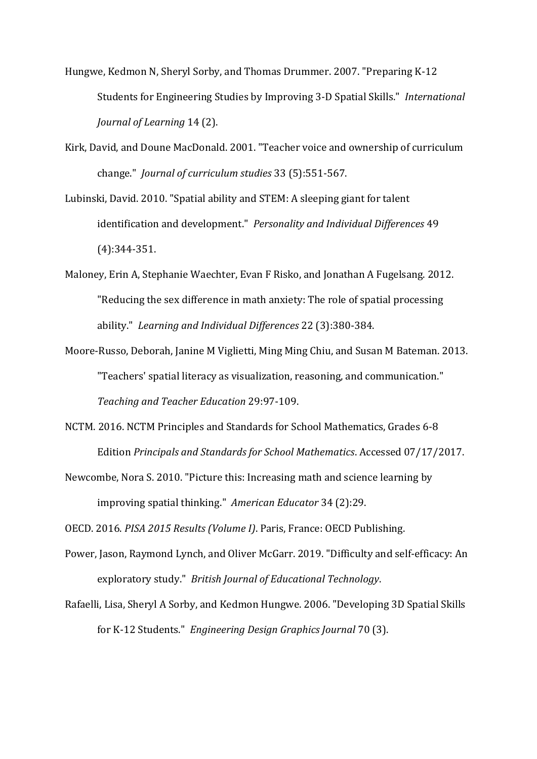- Hungwe, Kedmon N, Sheryl Sorby, and Thomas Drummer. 2007. "Preparing K-12 Students for Engineering Studies by Improving 3-D Spatial Skills." *International Journal of Learning* 14 (2).
- Kirk, David, and Doune MacDonald. 2001. "Teacher voice and ownership of curriculum change." *Journal of curriculum studies* 33 (5):551-567.
- Lubinski, David. 2010. "Spatial ability and STEM: A sleeping giant for talent identification and development." *Personality and Individual Differences* 49 (4):344-351.
- Maloney, Erin A, Stephanie Waechter, Evan F Risko, and Jonathan A Fugelsang. 2012. "Reducing the sex difference in math anxiety: The role of spatial processing ability." *Learning and Individual Differences* 22 (3):380-384.
- Moore-Russo, Deborah, Janine M Viglietti, Ming Ming Chiu, and Susan M Bateman. 2013. "Teachers' spatial literacy as visualization, reasoning, and communication." *Teaching and Teacher Education* 29:97-109.
- NCTM. 2016. NCTM Principles and Standards for School Mathematics, Grades 6-8 Edition *Principals and Standards for School Mathematics*. Accessed 07/17/2017.
- Newcombe, Nora S. 2010. "Picture this: Increasing math and science learning by improving spatial thinking." *American Educator* 34 (2):29.

OECD. 2016. *PISA 2015 Results (Volume I)*. Paris, France: OECD Publishing.

- Power, Jason, Raymond Lynch, and Oliver McGarr. 2019. "Difficulty and self‐efficacy: An exploratory study." *British Journal of Educational Technology*.
- Rafaelli, Lisa, Sheryl A Sorby, and Kedmon Hungwe. 2006. "Developing 3D Spatial Skills for K-12 Students." *Engineering Design Graphics Journal* 70 (3).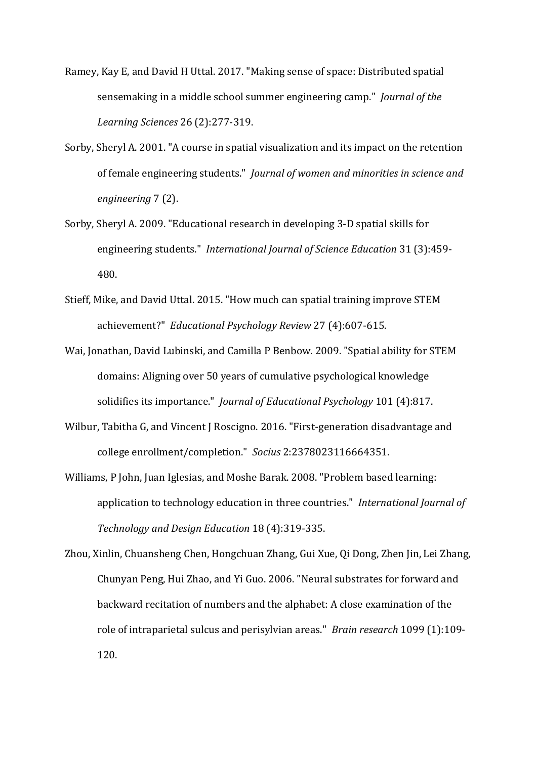- Ramey, Kay E, and David H Uttal. 2017. "Making sense of space: Distributed spatial sensemaking in a middle school summer engineering camp." *Journal of the Learning Sciences* 26 (2):277-319.
- Sorby, Sheryl A. 2001. "A course in spatial visualization and its impact on the retention of female engineering students." *Journal of women and minorities in science and engineering* 7 (2).
- Sorby, Sheryl A. 2009. "Educational research in developing 3‐D spatial skills for engineering students." *International Journal of Science Education* 31 (3):459- 480.
- Stieff, Mike, and David Uttal. 2015. "How much can spatial training improve STEM achievement?" *Educational Psychology Review* 27 (4):607-615.
- Wai, Jonathan, David Lubinski, and Camilla P Benbow. 2009. "Spatial ability for STEM domains: Aligning over 50 years of cumulative psychological knowledge solidifies its importance." *Journal of Educational Psychology* 101 (4):817.
- Wilbur, Tabitha G, and Vincent J Roscigno. 2016. "First-generation disadvantage and college enrollment/completion." *Socius* 2:2378023116664351.
- Williams, P John, Juan Iglesias, and Moshe Barak. 2008. "Problem based learning: application to technology education in three countries." *International Journal of Technology and Design Education* 18 (4):319-335.

Zhou, Xinlin, Chuansheng Chen, Hongchuan Zhang, Gui Xue, Qi Dong, Zhen Jin, Lei Zhang, Chunyan Peng, Hui Zhao, and Yi Guo. 2006. "Neural substrates for forward and backward recitation of numbers and the alphabet: A close examination of the role of intraparietal sulcus and perisylvian areas." *Brain research* 1099 (1):109- 120.